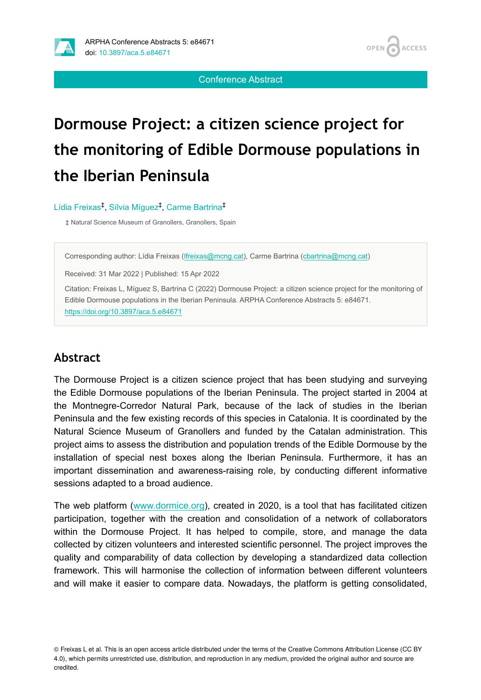

OPEN / **ACCESS** 

Conference Abstract

# **Dormouse Project: a citizen science project for the monitoring of Edible Dormouse populations in the Iberian Peninsula**

Lídia Freixas<sup>‡</sup>, Sílvia Míguez<sup>‡</sup>, Carme Bartrina<sup>‡</sup>

‡ Natural Science Museum of Granollers, Granollers, Spain

Corresponding author: Lídia Freixas ([lfreixas@mcng.cat\)](mailto:lfreixas@mcng.cat), Carme Bartrina ([cbartrina@mcng.cat](mailto:cbartrina@mcng.cat))

Received: 31 Mar 2022 | Published: 15 Apr 2022

Citation: Freixas L, Míguez S, Bartrina C (2022) Dormouse Project: a citizen science project for the monitoring of Edible Dormouse populations in the Iberian Peninsula. ARPHA Conference Abstracts 5: e84671. <https://doi.org/10.3897/aca.5.e84671>

#### **Abstract**

The Dormouse Project is a citizen science project that has been studying and surveying the Edible Dormouse populations of the Iberian Peninsula. The project started in 2004 at the Montnegre-Corredor Natural Park, because of the lack of studies in the Iberian Peninsula and the few existing records of this species in Catalonia. It is coordinated by the Natural Science Museum of Granollers and funded by the Catalan administration. This project aims to assess the distribution and population trends of the Edible Dormouse by the installation of special nest boxes along the Iberian Peninsula. Furthermore, it has an important dissemination and awareness-raising role, by conducting different informative sessions adapted to a broad audience.

The web platform ([www.dormice.org\)](http://www.dormice.org), created in 2020, is a tool that has facilitated citizen participation, together with the creation and consolidation of a network of collaborators within the Dormouse Project. It has helped to compile, store, and manage the data collected by citizen volunteers and interested scientific personnel. The project improves the quality and comparability of data collection by developing a standardized data collection framework. This will harmonise the collection of information between different volunteers and will make it easier to compare data. Nowadays, the platform is getting consolidated,

© Freixas L et al. This is an open access article distributed under the terms of the Creative Commons Attribution License (CC BY 4.0), which permits unrestricted use, distribution, and reproduction in any medium, provided the original author and source are credited.